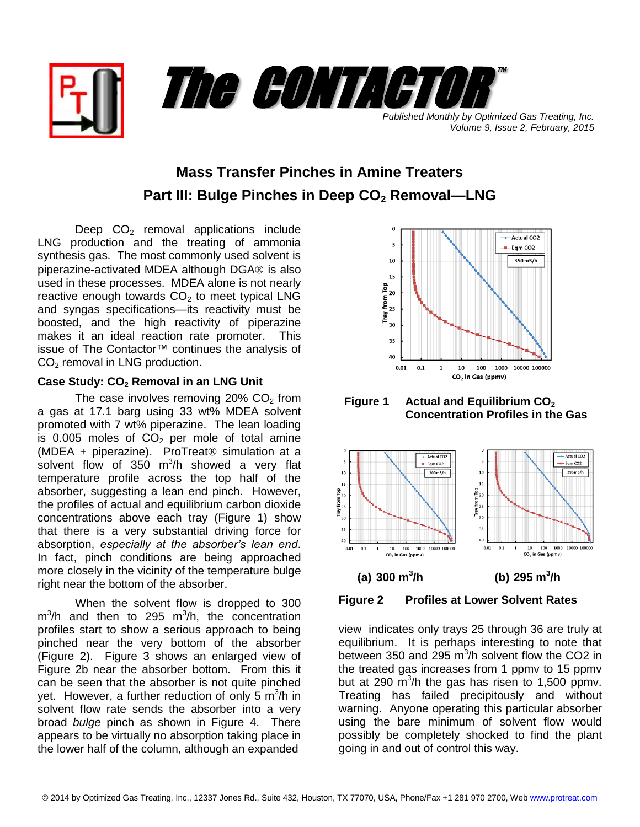

*Volume 9, Issue 2, February, 2015*

# **Mass Transfer Pinches in Amine Treaters Part III: Bulge Pinches in Deep CO<sup>2</sup> Removal—LNG**

Deep  $CO<sub>2</sub>$  removal applications include LNG production and the treating of ammonia synthesis gas. The most commonly used solvent is piperazine-activated MDEA although DGA® is also used in these processes. MDEA alone is not nearly reactive enough towards  $CO<sub>2</sub>$  to meet typical LNG and syngas specifications—its reactivity must be boosted, and the high reactivity of piperazine makes it an ideal reaction rate promoter. This issue of The Contactor™ continues the analysis of  $CO<sub>2</sub>$  removal in LNG production.

## **Case Study: CO<sup>2</sup> Removal in an LNG Unit**

The case involves removing  $20\%$  CO<sub>2</sub> from a gas at 17.1 barg using 33 wt% MDEA solvent promoted with 7 wt% piperazine. The lean loading is  $0.005$  moles of  $CO<sub>2</sub>$  per mole of total amine (MDEA + piperazine). ProTreat $@$  simulation at a solvent flow of 350  $m^3/h$  showed a very flat temperature profile across the top half of the absorber, suggesting a lean end pinch. However, the profiles of actual and equilibrium carbon dioxide concentrations above each tray (Figure 1) show that there is a very substantial driving force for absorption, *especially at the absorber's lean end*. In fact, pinch conditions are being approached more closely in the vicinity of the temperature bulge right near the bottom of the absorber.

When the solvent flow is dropped to 300  $m^3/h$  and then to 295  $m^3/h$ , the concentration profiles start to show a serious approach to being pinched near the very bottom of the absorber (Figure 2). Figure 3 shows an enlarged view of Figure 2b near the absorber bottom. From this it can be seen that the absorber is not quite pinched yet. However, a further reduction of only 5  $\text{m}^3\text{/h}$  in solvent flow rate sends the absorber into a very broad *bulge* pinch as shown in Figure 4. There appears to be virtually no absorption taking place in the lower half of the column, although an expanded



**Figure 1 Actual and Equilibrium CO<sup>2</sup> Concentration Profiles in the Gas**



**Figure 2 Profiles at Lower Solvent Rates**

view indicates only trays 25 through 36 are truly at equilibrium. It is perhaps interesting to note that between 350 and 295  $m^3/h$  solvent flow the CO2 in the treated gas increases from 1 ppmv to 15 ppmv but at 290  $\mathrm{m}^3$ /h the gas has risen to 1,500 ppmv. Treating has failed precipitously and without warning. Anyone operating this particular absorber using the bare minimum of solvent flow would possibly be completely shocked to find the plant going in and out of control this way.